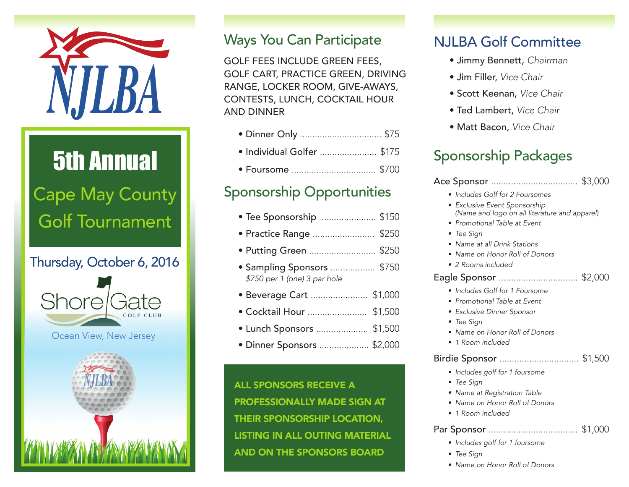

# 5th Annual Cape May County Golf Tournament

Thursday, October 6, 2016



Ocean View, New Jersey



### Ways You Can Participate

GOLF FEES INCLUDE GREEN FEES, GOLF CART, PRACTICE GREEN, DRIVING RANGE, LOCKER ROOM, GIVE-AWAYS, CONTESTS, LUNCH, COCKTAIL HOUR AND DINNER

| · Individual Golfer  \$175 |  |
|----------------------------|--|
|                            |  |

## Sponsorship Opportunities

| • Tee Sponsorship  \$150 |  |
|--------------------------|--|
| • Practice Range  \$250  |  |
| • Putting Green  \$250   |  |

- Sampling Sponsors .................. \$750 • *\$750 per 1 (one) 3 par hole*
- Beverage Cart ....................... \$1,000
- Cocktail Hour ........................ \$1,500
- Lunch Sponsors ..................... \$1,500
- Dinner Sponsors .................... \$2,000

ALL SPONSORS RECEIVE A PROFESSIONALLY MADE SIGN AT THEIR SPONSORSHIP LOCATION, LISTING IN ALL OUTING MATERIAL AND ON THE SPONSORS BOARD

### NJLBA Golf Committee

- Jimmy Bennett, *Chairman*
- Jim Filler, *Vice Chair*
- Scott Keenan, *Vice Chair*
- Ted Lambert, *Vice Chair*
- Matt Bacon, *Vice Chair*

## Sponsorship Packages

| • Includes Golf for 2 Foursomes<br>• Exclusive Event Sponsorship<br>(Name and logo on all literature and apparel)<br>• Promotional Table at Event<br>$\bullet$ Tee Sign<br>$\bullet\,$ Name at all Drink Stations<br>• Name on Honor Roll of Donors<br>$\bullet$ 2 Rooms included |  |  |  |
|-----------------------------------------------------------------------------------------------------------------------------------------------------------------------------------------------------------------------------------------------------------------------------------|--|--|--|
| Eagle Sponsor  \$2,000<br>Includes Golf for 1 Foursome                                                                                                                                                                                                                            |  |  |  |
| • Promotional Table at Event<br>• Exclusive Dinner Sponsor<br>$\bullet$ Tee Sign                                                                                                                                                                                                  |  |  |  |
| • Name on Honor Roll of Donors<br>$\bullet$ 1 Room included                                                                                                                                                                                                                       |  |  |  |
| Birdie Sponsor  \$1,500<br>· Includes golf for 1 foursome<br>• Tee Sign<br>• Name at Registration Table<br>• Name on Honor Roll of Donors<br>1 Room included                                                                                                                      |  |  |  |
|                                                                                                                                                                                                                                                                                   |  |  |  |

#### Par Sponsor .................................... \$1,000

- Includes golf for 1 foursome
- • Tee Sign
- Name on Honor Roll of Donors